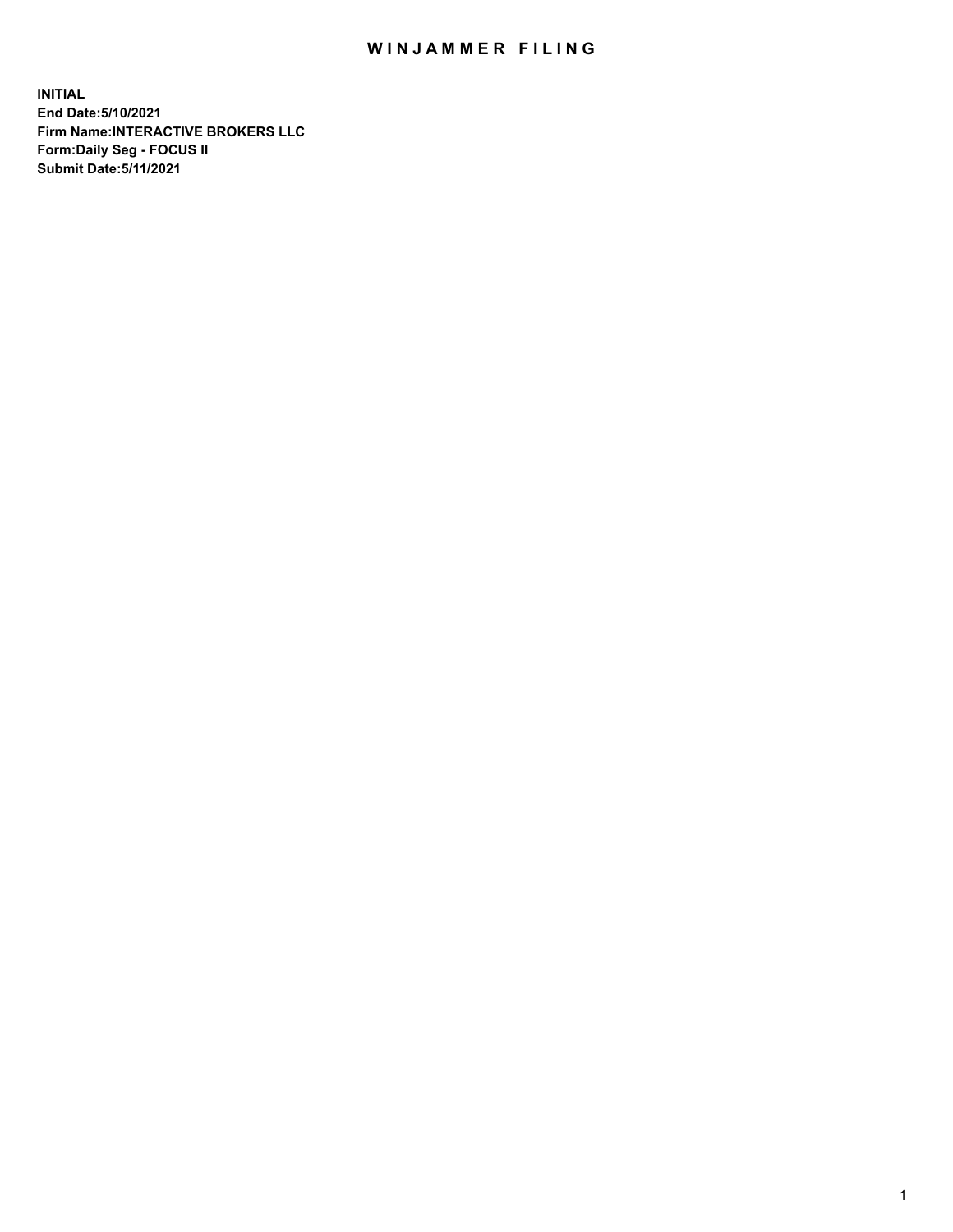## WIN JAMMER FILING

**INITIAL End Date:5/10/2021 Firm Name:INTERACTIVE BROKERS LLC Form:Daily Seg - FOCUS II Submit Date:5/11/2021**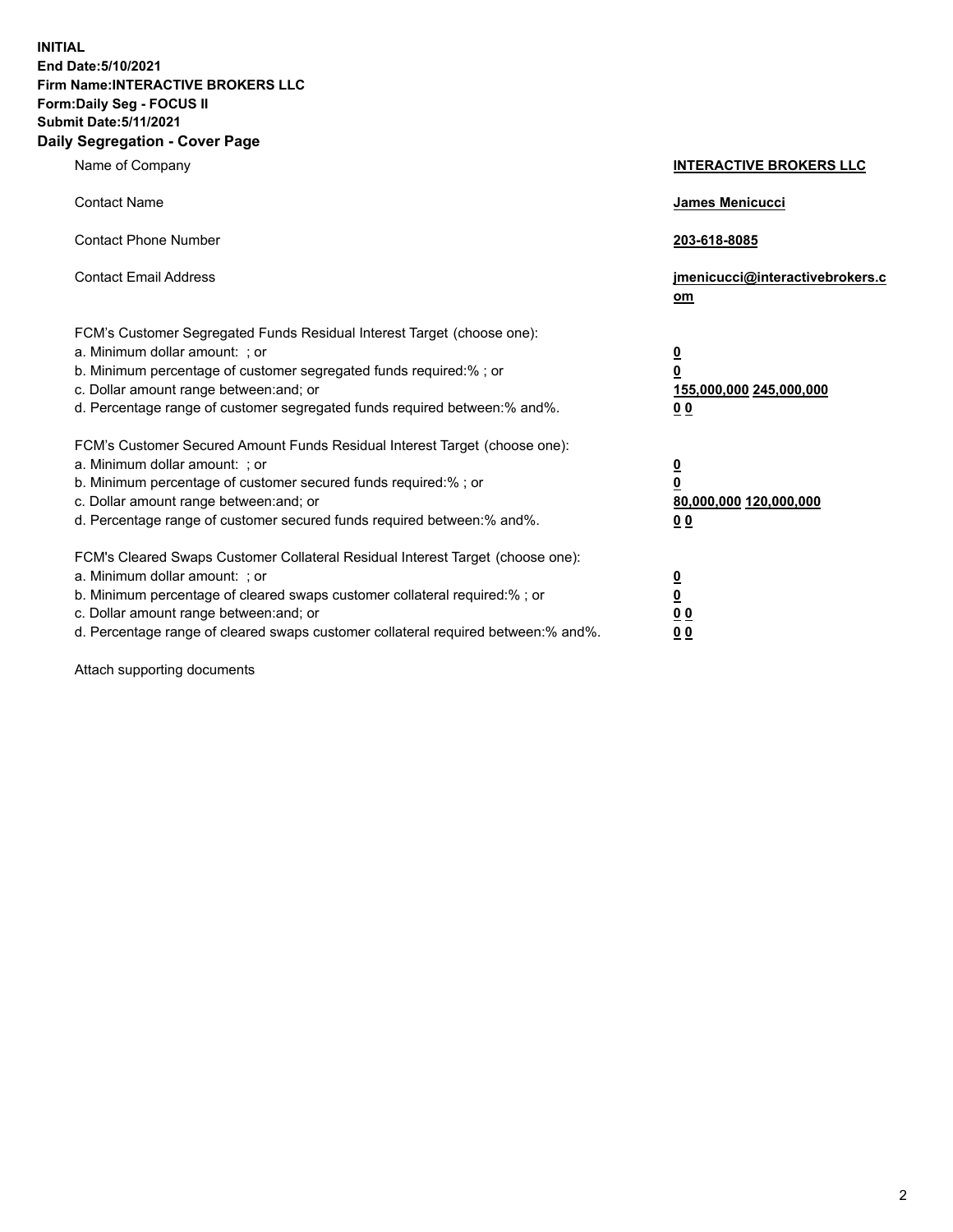**INITIAL End Date:5/10/2021 Firm Name:INTERACTIVE BROKERS LLC Form:Daily Seg - FOCUS II Submit Date:5/11/2021 Daily Segregation - Cover Page**

| Name of Company                                                                                                                                                                                                                                                                                                                | <b>INTERACTIVE BROKERS LLC</b>                                                                           |
|--------------------------------------------------------------------------------------------------------------------------------------------------------------------------------------------------------------------------------------------------------------------------------------------------------------------------------|----------------------------------------------------------------------------------------------------------|
| <b>Contact Name</b>                                                                                                                                                                                                                                                                                                            | James Menicucci                                                                                          |
| <b>Contact Phone Number</b>                                                                                                                                                                                                                                                                                                    | 203-618-8085                                                                                             |
| <b>Contact Email Address</b>                                                                                                                                                                                                                                                                                                   | jmenicucci@interactivebrokers.c<br>om                                                                    |
| FCM's Customer Segregated Funds Residual Interest Target (choose one):<br>a. Minimum dollar amount: ; or<br>b. Minimum percentage of customer segregated funds required:%; or<br>c. Dollar amount range between: and; or<br>d. Percentage range of customer segregated funds required between:% and%.                          | <u>0</u><br>$\overline{\mathbf{0}}$<br>155,000,000 245,000,000<br>0 <sub>0</sub>                         |
| FCM's Customer Secured Amount Funds Residual Interest Target (choose one):<br>a. Minimum dollar amount: ; or<br>b. Minimum percentage of customer secured funds required:%; or<br>c. Dollar amount range between: and; or<br>d. Percentage range of customer secured funds required between:% and%.                            | <u>0</u><br>$\overline{\mathbf{0}}$<br>80,000,000 120,000,000<br><u>00</u>                               |
| FCM's Cleared Swaps Customer Collateral Residual Interest Target (choose one):<br>a. Minimum dollar amount: ; or<br>b. Minimum percentage of cleared swaps customer collateral required:% ; or<br>c. Dollar amount range between: and; or<br>d. Percentage range of cleared swaps customer collateral required between:% and%. | $\overline{\mathbf{0}}$<br>$\underline{\mathbf{0}}$<br>$\underline{0}$ $\underline{0}$<br>0 <sub>0</sub> |

Attach supporting documents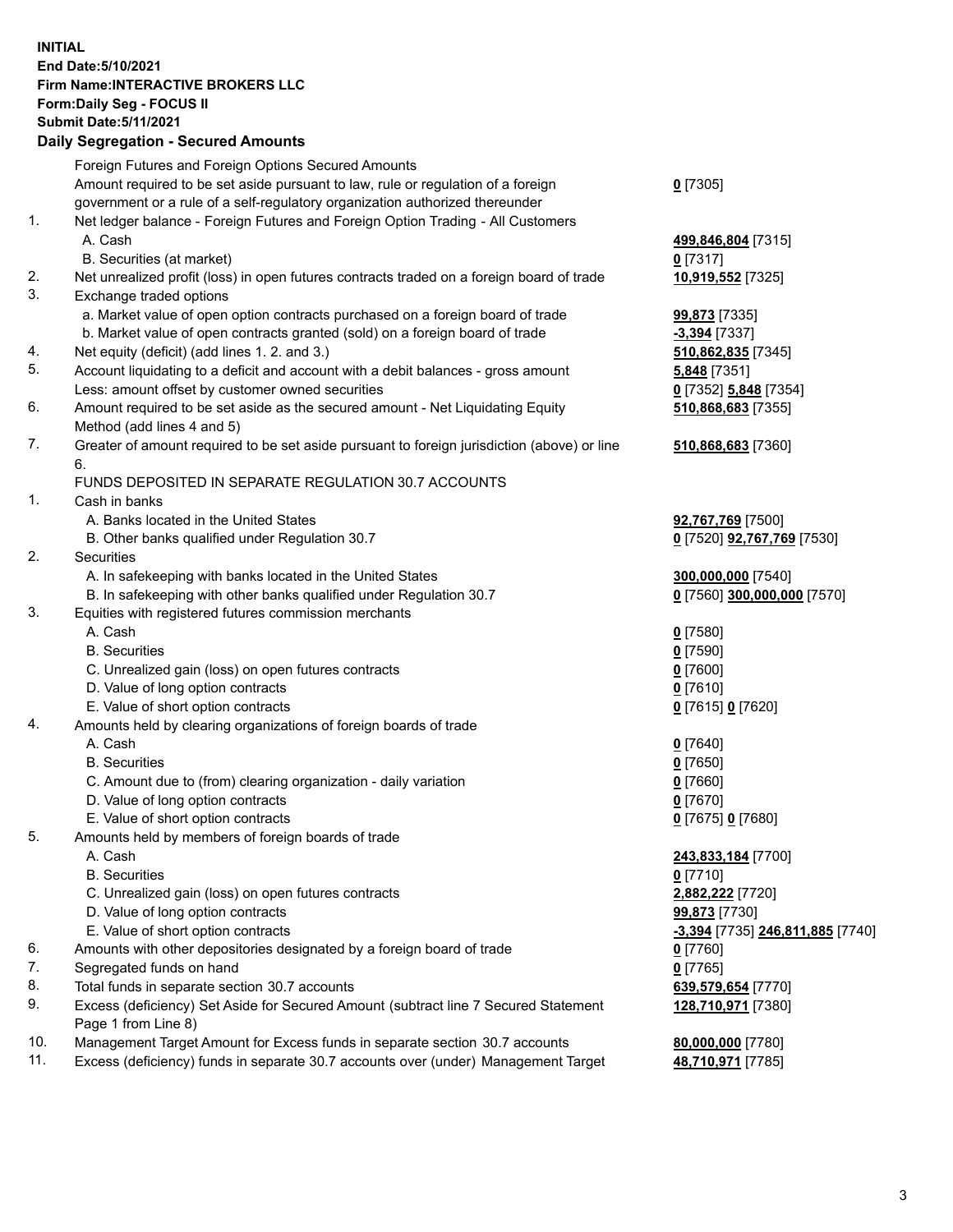## **INITIAL End Date:5/10/2021 Firm Name:INTERACTIVE BROKERS LLC Form:Daily Seg - FOCUS II Submit Date:5/11/2021 Daily Segregation - Secured Amounts**

|                | Daily Segregation - Secured Amounts                                                                                                  |                                         |
|----------------|--------------------------------------------------------------------------------------------------------------------------------------|-----------------------------------------|
|                | Foreign Futures and Foreign Options Secured Amounts                                                                                  |                                         |
|                | Amount required to be set aside pursuant to law, rule or regulation of a foreign                                                     | $0$ [7305]                              |
|                | government or a rule of a self-regulatory organization authorized thereunder                                                         |                                         |
| $\mathbf{1}$ . | Net ledger balance - Foreign Futures and Foreign Option Trading - All Customers                                                      |                                         |
|                | A. Cash                                                                                                                              | 499,846,804 [7315]                      |
|                | B. Securities (at market)                                                                                                            | $0$ [7317]                              |
| 2.             | Net unrealized profit (loss) in open futures contracts traded on a foreign board of trade                                            | 10,919,552 [7325]                       |
| 3.             | Exchange traded options                                                                                                              |                                         |
|                | a. Market value of open option contracts purchased on a foreign board of trade                                                       | <b>99,873</b> [7335]                    |
|                | b. Market value of open contracts granted (sold) on a foreign board of trade                                                         | -3,394 [7337]                           |
| 4.             | Net equity (deficit) (add lines 1. 2. and 3.)                                                                                        | 510,862,835 [7345]                      |
| 5.             | Account liquidating to a deficit and account with a debit balances - gross amount                                                    | <b>5,848</b> [7351]                     |
|                | Less: amount offset by customer owned securities                                                                                     | 0 [7352] 5,848 [7354]                   |
| 6.             | Amount required to be set aside as the secured amount - Net Liquidating Equity                                                       | 510,868,683 [7355]                      |
|                | Method (add lines 4 and 5)                                                                                                           |                                         |
| 7.             | Greater of amount required to be set aside pursuant to foreign jurisdiction (above) or line                                          | 510,868,683 [7360]                      |
|                | 6.                                                                                                                                   |                                         |
|                | FUNDS DEPOSITED IN SEPARATE REGULATION 30.7 ACCOUNTS                                                                                 |                                         |
| 1.             | Cash in banks                                                                                                                        |                                         |
|                | A. Banks located in the United States                                                                                                | 92,767,769 [7500]                       |
|                | B. Other banks qualified under Regulation 30.7                                                                                       | 0 [7520] <b>92,767,769</b> [7530]       |
| 2.             | <b>Securities</b>                                                                                                                    |                                         |
|                | A. In safekeeping with banks located in the United States                                                                            | 300,000,000 [7540]                      |
|                | B. In safekeeping with other banks qualified under Regulation 30.7                                                                   | 0 [7560] 300,000,000 [7570]             |
| 3.             | Equities with registered futures commission merchants                                                                                |                                         |
|                | A. Cash                                                                                                                              | $0$ [7580]                              |
|                | <b>B.</b> Securities                                                                                                                 | $0$ [7590]                              |
|                | C. Unrealized gain (loss) on open futures contracts                                                                                  | $0$ [7600]                              |
|                | D. Value of long option contracts                                                                                                    | $0$ [7610]                              |
|                | E. Value of short option contracts                                                                                                   | 0 [7615] 0 [7620]                       |
| 4.             | Amounts held by clearing organizations of foreign boards of trade                                                                    |                                         |
|                | A. Cash                                                                                                                              | $0$ [7640]                              |
|                | <b>B.</b> Securities                                                                                                                 | $0$ [7650]                              |
|                | C. Amount due to (from) clearing organization - daily variation                                                                      | $0$ [7660]                              |
|                | D. Value of long option contracts                                                                                                    | $0$ [7670]                              |
|                | E. Value of short option contracts                                                                                                   | $0$ [7675] $0$ [7680]                   |
| 5.             | Amounts held by members of foreign boards of trade                                                                                   |                                         |
|                | A. Cash                                                                                                                              | 243,833,184 [7700]                      |
|                | <b>B.</b> Securities                                                                                                                 | $0$ [7710]                              |
|                | C. Unrealized gain (loss) on open futures contracts                                                                                  | 2,882,222 [7720]                        |
|                | D. Value of long option contracts<br>E. Value of short option contracts                                                              | 99,873 [7730]                           |
| 6.             |                                                                                                                                      | <u>-3,394</u> [7735] 246,811,885 [7740] |
| 7.             | Amounts with other depositories designated by a foreign board of trade                                                               | $0$ [7760]                              |
| 8.             | Segregated funds on hand                                                                                                             | $0$ [7765]                              |
| 9.             | Total funds in separate section 30.7 accounts<br>Excess (deficiency) Set Aside for Secured Amount (subtract line 7 Secured Statement | 639,579,654 [7770]                      |
|                | Page 1 from Line 8)                                                                                                                  | 128,710,971 [7380]                      |
| 10.            | Management Target Amount for Excess funds in separate section 30.7 accounts                                                          | 80,000,000 [7780]                       |
| 11.            | Excess (deficiency) funds in separate 30.7 accounts over (under) Management Target                                                   | 48,710,971 [7785]                       |
|                |                                                                                                                                      |                                         |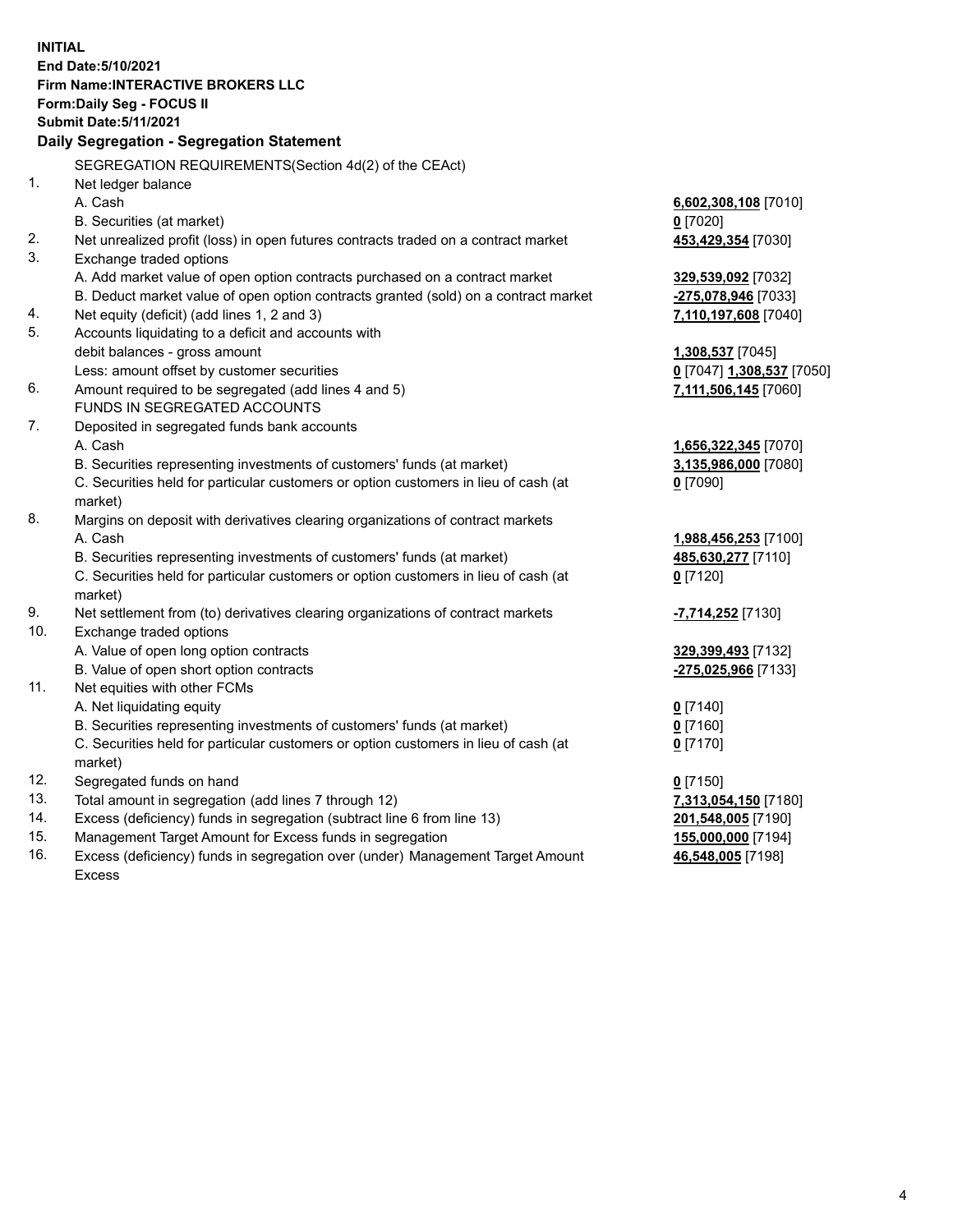**INITIAL End Date:5/10/2021 Firm Name:INTERACTIVE BROKERS LLC Form:Daily Seg - FOCUS II Submit Date:5/11/2021 Daily Segregation - Segregation Statement** SEGREGATION REQUIREMENTS(Section 4d(2) of the CEAct) 1. Net ledger balance A. Cash **6,602,308,108** [7010] B. Securities (at market) **0** [7020] 2. Net unrealized profit (loss) in open futures contracts traded on a contract market **453,429,354** [7030] 3. Exchange traded options A. Add market value of open option contracts purchased on a contract market **329,539,092** [7032] B. Deduct market value of open option contracts granted (sold) on a contract market **-275,078,946** [7033] 4. Net equity (deficit) (add lines 1, 2 and 3) **7,110,197,608** [7040] 5. Accounts liquidating to a deficit and accounts with debit balances - gross amount **1,308,537** [7045] Less: amount offset by customer securities **0** [7047] **1,308,537** [7050] 6. Amount required to be segregated (add lines 4 and 5) **7,111,506,145** [7060] FUNDS IN SEGREGATED ACCOUNTS 7. Deposited in segregated funds bank accounts A. Cash **1,656,322,345** [7070] B. Securities representing investments of customers' funds (at market) **3,135,986,000** [7080] C. Securities held for particular customers or option customers in lieu of cash (at market) **0** [7090] 8. Margins on deposit with derivatives clearing organizations of contract markets A. Cash **1,988,456,253** [7100] B. Securities representing investments of customers' funds (at market) **485,630,277** [7110] C. Securities held for particular customers or option customers in lieu of cash (at market) **0** [7120] 9. Net settlement from (to) derivatives clearing organizations of contract markets **-7,714,252** [7130] 10. Exchange traded options A. Value of open long option contracts **329,399,493** [7132] B. Value of open short option contracts **-275,025,966** [7133] 11. Net equities with other FCMs A. Net liquidating equity **0** [7140] B. Securities representing investments of customers' funds (at market) **0** [7160] C. Securities held for particular customers or option customers in lieu of cash (at market) **0** [7170] 12. Segregated funds on hand **0** [7150] 13. Total amount in segregation (add lines 7 through 12) **7,313,054,150** [7180] 14. Excess (deficiency) funds in segregation (subtract line 6 from line 13) **201,548,005** [7190] 15. Management Target Amount for Excess funds in segregation **155,000,000** [7194] **46,548,005** [7198]

16. Excess (deficiency) funds in segregation over (under) Management Target Amount Excess